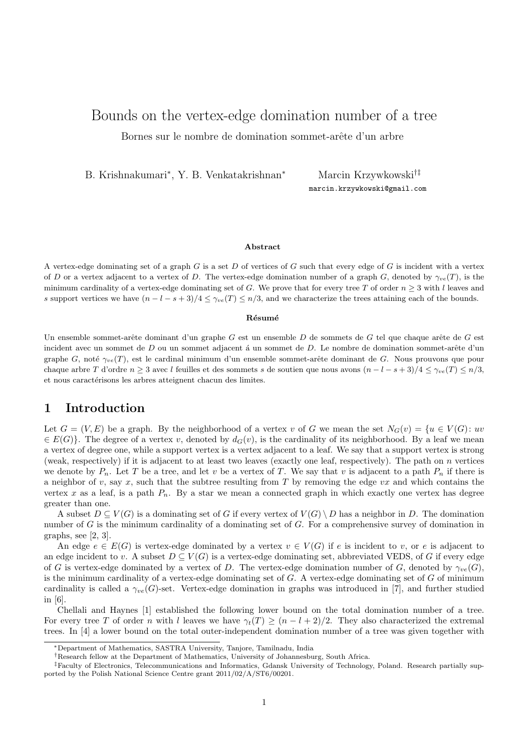# Bounds on the vertex-edge domination number of a tree Bornes sur le nombre de domination sommet-arête d'un arbre

B. Krishnakumari<sup>∗</sup> , Y. B. Venkatakrishnan<sup>∗</sup> Marcin Krzywkowski†‡

marcin.krzywkowski@gmail.com

### **Abstract**

A vertex-edge dominating set of a graph  $G$  is a set  $D$  of vertices of  $G$  such that every edge of  $G$  is incident with a vertex of D or a vertex adjacent to a vertex of D. The vertex-edge domination number of a graph G, denoted by  $\gamma_{ve}(T)$ , is the minimum cardinality of a vertex-edge dominating set of G. We prove that for every tree T of order  $n \geq 3$  with l leaves and s support vertices we have  $(n - l - s + 3)/4 \leq \gamma_{ve}(T) \leq n/3$ , and we characterize the trees attaining each of the bounds.

#### **R´esum´e**

Un ensemble sommet-arête dominant d'un graphe  $G$  est un ensemble  $D$  de sommets de  $G$  tel que chaque arête de  $G$  est incident avec un sommet de  $D$  ou un sommet adjacent á un sommet de  $D$ . Le nombre de domination sommet-arête d'un graphe G, noté  $\gamma_{ve}(T)$ , est le cardinal minimum d'un ensemble sommet-arête dominant de G. Nous prouvons que pour chaque arbre T d'ordre  $n \geq 3$  avec l feuilles et des sommets s de soutien que nous avons  $(n-l-s+3)/4 \leq \gamma_{ve}(T) \leq n/3$ , et nous caractérisons les arbres atteignent chacun des limites.

### **1 Introduction**

Let  $G = (V, E)$  be a graph. By the neighborhood of a vertex v of G we mean the set  $N_G(v) = \{u \in V(G): uv\}$  $\in E(G)$ . The degree of a vertex v, denoted by  $d_G(v)$ , is the cardinality of its neighborhood. By a leaf we mean a vertex of degree one, while a support vertex is a vertex adjacent to a leaf. We say that a support vertex is strong (weak, respectively) if it is adjacent to at least two leaves (exactly one leaf, respectively). The path on  $n$  vertices we denote by  $P_n$ . Let T be a tree, and let v be a vertex of T. We say that v is adjacent to a path  $P_n$  if there is a neighbor of v, say x, such that the subtree resulting from  $T$  by removing the edge  $vx$  and which contains the vertex x as a leaf, is a path  $P_n$ . By a star we mean a connected graph in which exactly one vertex has degree greater than one.

A subset  $D \subseteq V(G)$  is a dominating set of G if every vertex of  $V(G) \setminus D$  has a neighbor in D. The domination number of  $G$  is the minimum cardinality of a dominating set of  $G$ . For a comprehensive survey of domination in graphs, see [2, 3].

An edge  $e \in E(G)$  is vertex-edge dominated by a vertex  $v \in V(G)$  if e is incident to v, or e is adjacent to an edge incident to v. A subset  $D \subseteq V(G)$  is a vertex-edge dominating set, abbreviated VEDS, of G if every edge of G is vertex-edge dominated by a vertex of D. The vertex-edge domination number of G, denoted by  $\gamma_{ve}(G)$ , is the minimum cardinality of a vertex-edge dominating set of  $G$ . A vertex-edge dominating set of  $G$  of minimum cardinality is called a  $\gamma_{ve}(G)$ -set. Vertex-edge domination in graphs was introduced in [7], and further studied in [6].

Chellali and Haynes [1] established the following lower bound on the total domination number of a tree. For every tree T of order n with l leaves we have  $\gamma_t(T) \ge (n - l + 2)/2$ . They also characterized the extremal trees. In [4] a lower bound on the total outer-independent domination number of a tree was given together with

<sup>∗</sup>Department of Mathematics, SASTRA University, Tanjore, Tamilnadu, India

<sup>†</sup>Research fellow at the Department of Mathematics, University of Johannesburg, South Africa.

<sup>‡</sup>Faculty of Electronics, Telecommunications and Informatics, Gdansk University of Technology, Poland. Research partially supported by the Polish National Science Centre grant 2011/02/A/ST6/00201.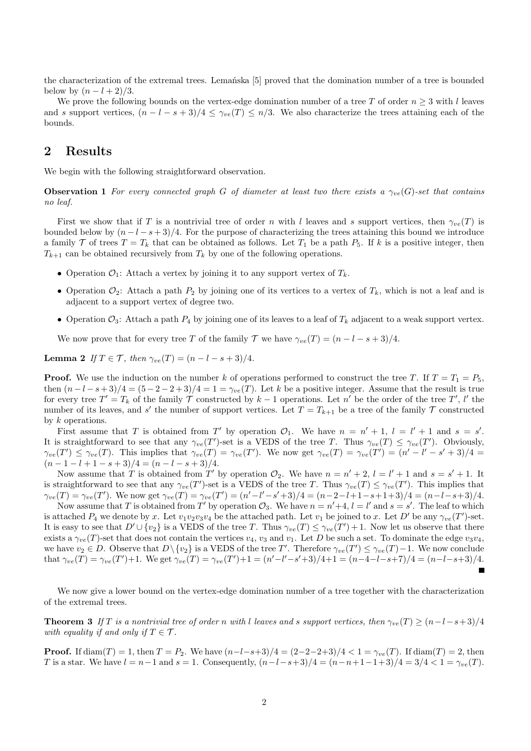the characterization of the extremal trees. Lemańska [5] proved that the domination number of a tree is bounded below by  $(n-l+2)/3$ .

We prove the following bounds on the vertex-edge domination number of a tree T of order  $n \geq 3$  with l leaves and s support vertices,  $(n - l - s + 3)/4 \leq \gamma_{ve}(T) \leq n/3$ . We also characterize the trees attaining each of the bounds.

# **2 Results**

We begin with the following straightforward observation.

**Observation 1** *For every connected graph* G *of diameter at least two there exists a*  $\gamma_{ve}(G)$ -set that contains *no leaf.*

First we show that if T is a nontrivial tree of order n with l leaves and s support vertices, then  $\gamma_{ve}(T)$  is bounded below by  $(n - l - s + 3)/4$ . For the purpose of characterizing the trees attaining this bound we introduce a family T of trees  $T = T_k$  that can be obtained as follows. Let  $T_1$  be a path  $P_5$ . If k is a positive integer, then  $T_{k+1}$  can be obtained recursively from  $T_k$  by one of the following operations.

- Operation  $\mathcal{O}_1$ : Attach a vertex by joining it to any support vertex of  $T_k$ .
- Operation  $\mathcal{O}_2$ : Attach a path  $P_2$  by joining one of its vertices to a vertex of  $T_k$ , which is not a leaf and is adjacent to a support vertex of degree two.
- Operation  $\mathcal{O}_3$ : Attach a path  $P_4$  by joining one of its leaves to a leaf of  $T_k$  adjacent to a weak support vertex.

We now prove that for every tree T of the family T we have  $\gamma_{ve}(T) = (n - l - s + 3)/4$ .

**Lemma 2** *If*  $T \in \mathcal{T}$ *, then*  $\gamma_{ve}(T) = (n - l - s + 3)/4$ *.* 

**Proof.** We use the induction on the number k of operations performed to construct the tree T. If  $T = T_1 = P_5$ , then  $(n-l-s+3)/4 = (5-2-2+3)/4 = 1 = \gamma_{ve}(T)$ . Let k be a positive integer. Assume that the result is true for every tree  $T' = T_k$  of the family  $\overline{\mathcal{T}}$  constructed by  $k-1$  operations. Let  $n'$  be the order of the tree  $T'$ ,  $l'$  the number of its leaves, and s' the number of support vertices. Let  $T = T_{k+1}$  be a tree of the family  $T$  constructed by k operations.

First assume that T is obtained from T' by operation  $\mathcal{O}_1$ . We have  $n = n' + 1$ ,  $l = l' + 1$  and  $s = s'$ . It is straightforward to see that any  $\gamma_{ve}(T')$ -set is a VEDS of the tree T. Thus  $\gamma_{ve}(T) \leq \gamma_{ve}(T')$ . Obviously,  $\gamma_{ve}(T') \leq \gamma_{ve}(T)$ . This implies that  $\gamma_{ve}(T) = \gamma_{ve}(T')$ . We now get  $\gamma_{ve}(T) = \gamma_{ve}(T') = (n' - l' - s' + 3)/4$  $(n-1-l+1-s+3)/4 = (n-l-s+3)/4.$ 

Now assume that T is obtained from T' by operation  $\mathcal{O}_2$ . We have  $n = n' + 2$ ,  $l = l' + 1$  and  $s = s' + 1$ . It is straightforward to see that any  $\gamma_{ve}(T')$ -set is a VEDS of the tree T. Thus  $\gamma_{ve}(T) \leq \gamma_{ve}(T')$ . This implies that  $\gamma_{ve}(T) = \gamma_{ve}(T')$ . We now get  $\gamma_{ve}(T) = \gamma_{ve}(T') = (n'-l'-s'+3)/4 = (n-2-l+1-s+1+3)/4 = (n-l-s+3)/4$ .

Now assume that T is obtained from T' by operation  $\mathcal{O}_3$ . We have  $n = n'+4$ ,  $l = l'$  and  $s = s'$ . The leaf to which is attached  $P_4$  we denote by x. Let  $v_1v_2v_3v_4$  be the attached path. Let  $v_1$  be joined to x. Let  $D'$  be any  $\gamma_{ve}(T')$ -set. It is easy to see that  $D' \cup \{v_2\}$  is a VEDS of the tree T. Thus  $\gamma_{ve}(T) \leq \gamma_{ve}(T') + 1$ . Now let us observe that there exists a  $\gamma_{ve}(T)$ -set that does not contain the vertices  $v_4$ ,  $v_3$  and  $v_1$ . Let D be such a set. To dominate the edge  $v_3v_4$ , we have  $v_2 \in D$ . Observe that  $D \setminus \{v_2\}$  is a VEDS of the tree T'. Therefore  $\gamma_{ve}(T') \leq \gamma_{ve}(T) - 1$ . We now conclude that  $\gamma_{ve}(T) = \gamma_{ve}(T') + 1$ . We get  $\gamma_{ve}(T) = \gamma_{ve}(T') + 1 = (n' - l' - s' + 3)/4 + 1 = (n - 4 - l - s + 7)/4 = (n - l - s + 3)/4$ .

We now give a lower bound on the vertex-edge domination number of a tree together with the characterization of the extremal trees.

**Theorem 3** *If* T *is a nontrivial tree of order* n *with* l *leaves and* s support vertices, then  $\gamma_{ve}(T) \ge (n-l-s+3)/4$ *with equality if and only if*  $T \in \mathcal{T}$ *.* 

**Proof.** If  $\text{diam}(T) = 1$ , then  $T = P_2$ . We have  $(n-l-s+3)/4 = (2-2-2+3)/4 < 1 = \gamma_{ve}(T)$ . If  $\text{diam}(T) = 2$ , then T is a star. We have  $l = n-1$  and  $s = 1$ . Consequently,  $(n-l-s+3)/4 = (n-n+1-1+3)/4 = 3/4 < 1 = \gamma_{ve}(T)$ .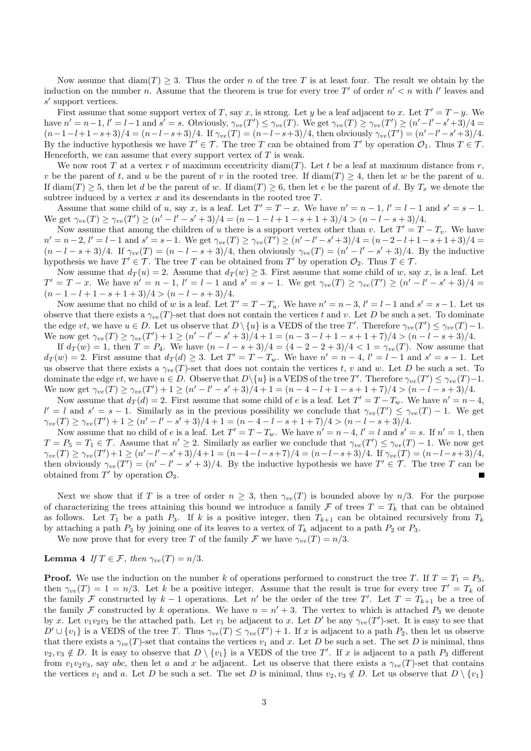Now assume that  $\text{diam}(T) > 3$ . Thus the order n of the tree T is at least four. The result we obtain by the induction on the number n. Assume that the theorem is true for every tree T' of order  $n' < n$  with l' leaves and s ′ support vertices.

First assume that some support vertex of T, say x, is strong. Let y be a leaf adjacent to x. Let  $T' = T - y$ . We have  $n' = n-1$ ,  $l' = l-1$  and  $s' = s$ . Obviously,  $\gamma_{ve}(T') \leq \gamma_{ve}(T')$ . We get  $\gamma_{ve}(T) \geq \gamma_{ve}(T') \geq (n'-l'-s'+3)/4$  $(n-1-l+1-s+3)/4 = (n-l-s+3)/4.$  If  $\gamma_{ve}(T) = (n-l-s+3)/4$ , then obviously  $\gamma_{ve}(T') = (n'-l'-s'+3)/4.$ By the inductive hypothesis we have  $T' \in \mathcal{T}$ . The tree T can be obtained from T' by operation  $\mathcal{O}_1$ . Thus  $T \in \mathcal{T}$ . Henceforth, we can assume that every support vertex of  $T$  is weak.

We now root T at a vertex r of maximum eccentricity  $\text{diam}(T)$ . Let t be a leaf at maximum distance from r, v be the parent of t, and u be the parent of v in the rooted tree. If  $\text{diam}(T) \geq 4$ , then let w be the parent of u. If  $\text{diam}(T) \geq 5$ , then let d be the parent of w. If  $\text{diam}(T) \geq 6$ , then let e be the parent of d. By  $T_x$  we denote the subtree induced by a vertex  $x$  and its descendants in the rooted tree  $T$ .

Assume that some child of u, say x, is a leaf. Let  $T' = T - x$ . We have  $n' = n - 1$ ,  $l' = l - 1$  and  $s' = s - 1$ . We get  $\gamma_{ve}(T) \ge \gamma_{ve}(T') \ge (n' - l' - s' + 3)/4 = (n - 1 - l + 1 - s + 1 + 3)/4 > (n - l - s + 3)/4.$ 

Now assume that among the children of u there is a support vertex other than v. Let  $T' = T - T_v$ . We have  $n' = n-2$ ,  $l' = l-1$  and  $s' = s-1$ . We get  $\gamma_{ve}(T) \ge \gamma_{ve}(T') \ge (n'-l'-s'+3)/4 = (n-2-l+1-s+1+3)/4 = (n-1-s+1)$  $(n-l-s+3)/4$ . If  $\gamma_{ve}(T)=(n-l-s+3)/4$ , then obviously  $\gamma_{ve}(T)=(n'-l'-s'+3)/4$ . By the inductive hypothesis we have  $T' \in \mathcal{T}$ . The tree T can be obtained from T' by operation  $\mathcal{O}_2$ . Thus  $T \in \mathcal{T}$ .

Now assume that  $d_T(u) = 2$ . Assume that  $d_T(w) \geq 3$ . First assume that some child of w, say x, is a leaf. Let  $T' = T - x$ . We have  $n' = n - 1$ ,  $l' = l - 1$  and  $s' = s - 1$ . We get  $\gamma_{ve}(T) \ge \gamma_{ve}(T') \ge (n' - l' - s' + 3)/4 =$  $(n-1-l+1-s+1+3)/4 > (n-l-s+3)/4.$ 

Now assume that no child of w is a leaf. Let  $T' = T - T_u$ . We have  $n' = n - 3$ ,  $l' = l - 1$  and  $s' = s - 1$ . Let us observe that there exists a  $\gamma_{ve}(T)$ -set that does not contain the vertices t and v. Let D be such a set. To dominate the edge vt, we have  $u \in D$ . Let us observe that  $D \setminus \{u\}$  is a VEDS of the tree T'. Therefore  $\gamma_{ve}(T') \leq \gamma_{ve}(T) - 1$ . We now get  $\gamma_{ve}(T) \ge \gamma_{ve}(T') + 1 \ge (n' - l' - s' + 3)/4 + 1 = (n - 3 - l + 1 - s + 1 + 7)/4 > (n - l - s + 3)/4$ .

If  $d_T(w) = 1$ , then  $T = P_4$ . We have  $(n - l - s + 3)/4 = (4 - 2 - 2 + 3)/4 < 1 = \gamma_{ve}(T)$ . Now assume that  $d_T(w) = 2$ . First assume that  $d_T(d) \geq 3$ . Let  $T' = T - T_w$ . We have  $n' = n - 4$ ,  $l' = l - 1$  and  $s' = s - 1$ . Let us observe that there exists a  $\gamma_{ve}(T)$ -set that does not contain the vertices t, v and w. Let D be such a set. To dominate the edge  $vt$ , we have  $u \in D$ . Observe that  $D \setminus \{u\}$  is a VEDS of the tree T'. Therefore  $\gamma_{ve}(T') \leq \gamma_{ve}(T) - 1$ . We now get  $\gamma_{ve}(T) \ge \gamma_{ve}(T') + 1 \ge (n' - l' - s' + 3)/4 + 1 = (n - 4 - l + 1 - s + 1 + 7)/4 > (n - l - s + 3)/4$ .

Now assume that  $d_T(d) = 2$ . First assume that some child of e is a leaf. Let  $T' = T - T_w$ . We have  $n' = n - 4$ ,  $l' = l$  and  $s' = s - 1$ . Similarly as in the previous possibility we conclude that  $\gamma_{ve}(T') \leq \gamma_{ve}(T) - 1$ . We get  $\gamma_{ve}(T) \ge \gamma_{ve}(T') + 1 \ge (n' - l' - s' + 3)/4 + 1 = (n - 4 - l - s + 1 + 7)/4 > (n - l - s + 3)/4.$ 

Now assume that no child of e is a leaf. Let  $T' = T - T_w$ . We have  $n' = n - 4$ ,  $l' = l$  and  $s' = s$ . If  $n' = 1$ , then  $T = P_5 = T_1 \in \mathcal{T}$ . Assume that  $n' \geq 2$ . Similarly as earlier we conclude that  $\gamma_{ve}(T') \leq \gamma_{ve}(T) - 1$ . We now get  $\gamma_{ve}(T) \ge \gamma_{ve}(T') + 1 \ge (n' - l' - s' + 3)/4 + 1 = (n - 4 - l - s + 7)/4 = (n - l - s + 3)/4.$  If  $\gamma_{ve}(T) = (n - l - s + 3)/4$ , then obviously  $\gamma_{ve}(T') = (n' - l' - s' + 3)/4$ . By the inductive hypothesis we have  $T' \in \mathcal{T}$ . The tree T can be obtained from  $T'$  by operation  $\mathcal{O}_3$ .

Next we show that if T is a tree of order  $n \geq 3$ , then  $\gamma_{ve}(T)$  is bounded above by  $n/3$ . For the purpose of characterizing the trees attaining this bound we introduce a family  $\mathcal F$  of trees  $T = T_k$  that can be obtained as follows. Let  $T_1$  be a path  $P_3$ . If k is a positive integer, then  $T_{k+1}$  can be obtained recursively from  $T_k$ by attaching a path  $P_3$  by joining one of its leaves to a vertex of  $T_k$  adjacent to a path  $P_2$  or  $P_3$ .

We now prove that for every tree T of the family F we have  $\gamma_{ve}(T) = n/3$ .

### **Lemma 4** *If*  $T \in \mathcal{F}$ *, then*  $\gamma_{ve}(T) = n/3$ *.*

**Proof.** We use the induction on the number k of operations performed to construct the tree T. If  $T = T_1 = P_3$ , then  $\gamma_{ve}(T) = 1 = n/3$ . Let k be a positive integer. Assume that the result is true for every tree  $T' = T_k$  of the family F constructed by  $k-1$  operations. Let n' be the order of the tree T'. Let  $T = T_{k+1}$  be a tree of the family F constructed by k operations. We have  $n = n' + 3$ . The vertex to which is attached  $P_3$  we denote by x. Let  $v_1v_2v_3$  be the attached path. Let  $v_1$  be adjacent to x. Let D' be any  $\gamma_{ve}(T')$ -set. It is easy to see that  $D' \cup \{v_1\}$  is a VEDS of the tree T. Thus  $\gamma_{ve}(T) \leq \gamma_{ve}(T') + 1$ . If x is adjacent to a path  $P_2$ , then let us observe that there exists a  $\gamma_{ve}(T)$ -set that contains the vertices  $v_1$  and x. Let D be such a set. The set D is minimal, thus  $v_2, v_3 \notin D$ . It is easy to observe that  $D \setminus \{v_1\}$  is a VEDS of the tree T'. If x is adjacent to a path  $P_3$  different from  $v_1v_2v_3$ , say abc, then let a and x be adjacent. Let us observe that there exists a  $\gamma_{ve}(T)$ -set that contains the vertices  $v_1$  and a. Let D be such a set. The set D is minimal, thus  $v_2, v_3 \notin D$ . Let us observe that  $D \setminus \{v_1\}$